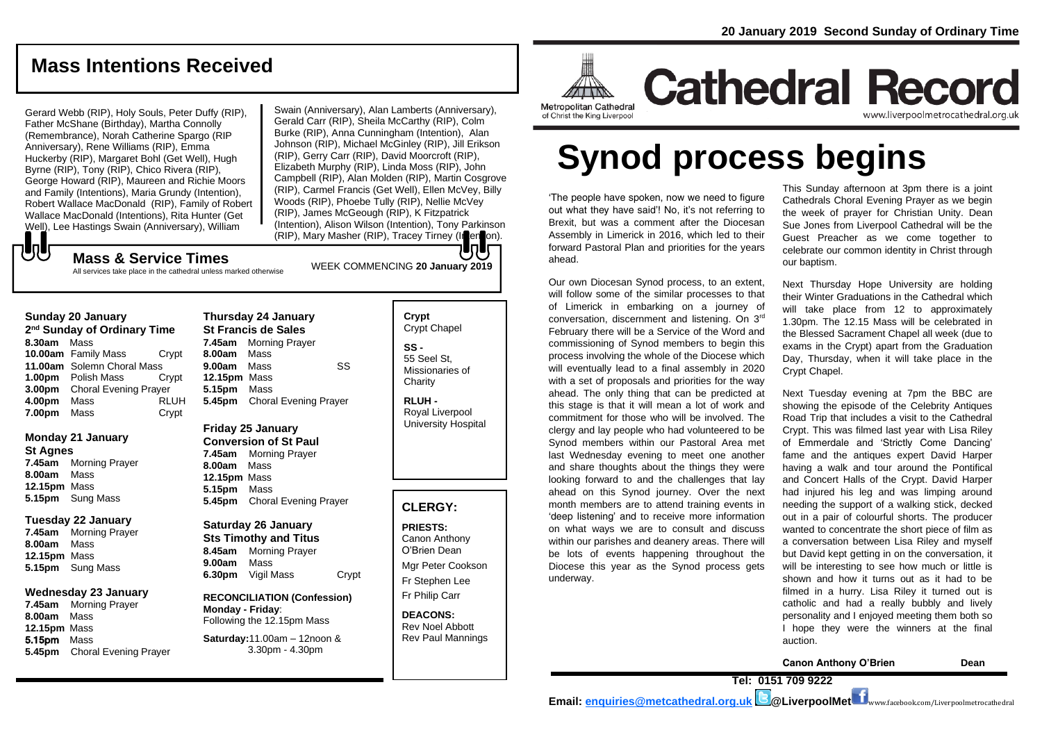# **Mass Intentions Received**

Gerard Webb (RIP), Holy Souls, Peter Duffy (RIP), Father McShane (Birthday), Martha Connolly (Remembrance), Norah Catherine Spargo (RIP Anniversary), Rene Williams (RIP), Emma Huckerby (RIP), Margaret Bohl (Get Well), Hugh Byrne (RIP), Tony (RIP), Chico Rivera (RIP), George Howard (RIP), Maureen and Richie Moors and Family (Intentions), Maria Grundy (Intention), Robert Wallace MacDonald (RIP), Family of Robert Wallace MacDonald (Intentions), Rita Hunter (Get Well), Lee Hastings Swain (Anniversary), William

Swain (Anniversary), Alan Lamberts (Anniversary), Gerald Carr (RIP), Sheila McCarthy (RIP), Colm Burke (RIP), Anna Cunningham (Intention), Alan Johnson (RIP), Michael McGinley (RIP), Jill Erikson (RIP), Gerry Carr (RIP), David Moorcroft (RIP), Elizabeth Murphy (RIP), Linda Moss (RIP), John Campbell (RIP), Alan Molden (RIP), Martin Cosgrove (RIP), Carmel Francis (Get Well), Ellen McVey, Billy Woods (RIP), Phoebe Tully (RIP), Nellie McVey (RIP), James McGeough (RIP), K Fitzpatrick (Intention), Alison Wilson (Intention), Tony Parkinson (RIP), Mary Masher (RIP), Tracey Tirney (Intention).

# もし WEEK COMMENCING **<sup>20</sup> January 2019 Mass & Service Times**

All services take place in the cathedral unless marked otherwise

#### **Sunday 20 January**

**2 nd Sunday of Ordinary Time 8.30am** Mass **10.00am** Family Mass Crypt **11.00am** Solemn Choral Mass **1.00pm** Polish Mass Crypt **3.00pm** Choral Evening Prayer **4.00pm** Mass RLUH **7.00pm** Mass Crypt

## **Monday 21 January**

**St Agnes**

**7.45am** Morning Prayer **8.00am** Mass **12.15pm** Mass **5.15pm** Sung Mass

#### **Tuesday 22 January**

**7.45am** Morning Prayer **8.00am** Mass **12.15pm** Mass **5.15pm** Sung Mass

## **Wednesday 23 January**

**7.45am** Morning Prayer **8.00am** Mass **12.15pm** Mass 5.15pm Mass **5.45pm** Choral Evening Prayer

# **Thursday 24 January St Francis de Sales 7.45am** Morning Prayer **8.00am** Mass **9.00am** Mass SS **12.15pm** Mass **5.15pm** Mass **5.45pm** Choral Evening Prayer

**Friday 25 January Conversion of St Paul**

**7.45am** Morning Prayer **8.00am** Mass **12.15pm** Mass **5.15pm** Mass **5.45pm** Choral Evening Prayer

**Saturday 26 January Sts Timothy and Titus 8.45am** Morning Prayer **9.00am** Mass **6.30pm** Vigil Mass Crypt

**RECONCILIATION (Confession) Monday - Friday**: Following the 12.15pm Mass **Saturday:**11.00am – 12noon &

3.30pm - 4.30pm

**Crypt**  Crypt Chapel **SS -** 55 Seel St, Missionaries of **Charity** 

**RLUH -** Royal Liverpool University Hospital

# **CLERGY:**

**PRIESTS:** Canon Anthony O'Brien *Dean* Mgr Peter Cookson Fr Stephen Lee Fr Philip Carr

**DEACONS:** Rev Noel Abbott Rev Paul Mannings



**Cathedral Record** www.liverpoolmetrocathedral.org.ul

**Synod process begins**

'The people have spoken, now we need to figure out what they have said'! No, it's not referring to Brexit, but was a comment after the Diocesan Assembly in Limerick in 2016, which led to their forward Pastoral Plan and priorities for the years ahead.

Our own Diocesan Synod process, to an extent, will follow some of the similar processes to that of Limerick in embarking on a journey of conversation, discernment and listening. On 3rd February there will be a Service of the Word and commissioning of Synod members to begin this process involving the whole of the Diocese which will eventually lead to a final assembly in 2020 with a set of proposals and priorities for the way ahead. The only thing that can be predicted at this stage is that it will mean a lot of work and commitment for those who will be involved. The clergy and lay people who had volunteered to be Synod members within our Pastoral Area met last Wednesday evening to meet one another and share thoughts about the things they were looking forward to and the challenges that lay ahead on this Synod journey. Over the next month members are to attend training events in 'deep listening' and to receive more information on what ways we are to consult and discuss within our parishes and deanery areas. There will be lots of events happening throughout the Diocese this year as the Synod process gets underway.

This Sunday afternoon at 3pm there is a joint Cathedrals Choral Evening Prayer as we begin the week of prayer for Christian Unity. Dean Sue Jones from Liverpool Cathedral will be the Guest Preacher as we come together to celebrate our common identity in Christ through our baptism.

Next Thursday Hope University are holding their Winter Graduations in the Cathedral which will take place from 12 to approximately 1.30pm. The 12.15 Mass will be celebrated in the Blessed Sacrament Chapel all week (due to exams in the Crypt) apart from the Graduation Day, Thursday, when it will take place in the Crypt Chapel.

Next Tuesday evening at 7pm the BBC are showing the episode of the Celebrity Antiques Road Trip that includes a visit to the Cathedral Crypt. This was filmed last year with Lisa Riley of Emmerdale and 'Strictly Come Dancing' fame and the antiques expert David Harper having a walk and tour around the Pontifical and Concert Halls of the Crypt. David Harper had injured his leg and was limping around needing the support of a walking stick, decked out in a pair of colourful shorts. The producer wanted to concentrate the short piece of film as a conversation between Lisa Riley and myself but David kept getting in on the conversation, it will be interesting to see how much or little is shown and how it turns out as it had to be filmed in a hurry. Lisa Riley it turned out is catholic and had a really bubbly and lively personality and I enjoyed meeting them both so I hope they were the winners at the final auction.

**Canon Anthony O'Brien Dean**

**Email: [enquiries@metcathedral.org.uk](mailto:enquiries@metcathedral.org.uk) @LiverpoolMet** www.facebook.com/Liverpoolmetrocathedral

**Tel: 0151 709 9222**